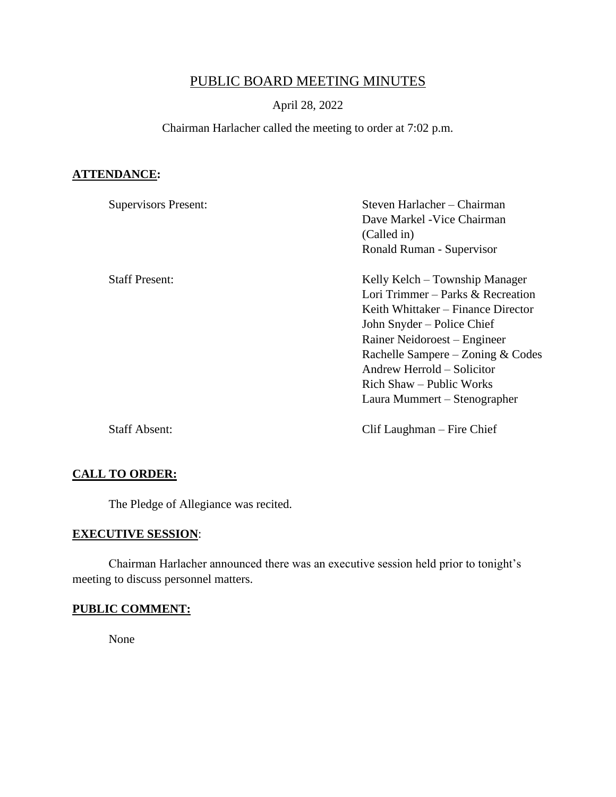# PUBLIC BOARD MEETING MINUTES

# April 28, 2022

# Chairman Harlacher called the meeting to order at 7:02 p.m.

# **ATTENDANCE:**

| <b>Supervisors Present:</b> | Steven Harlacher – Chairman<br>Dave Markel - Vice Chairman<br>(Called in)<br>Ronald Ruman - Supervisor |
|-----------------------------|--------------------------------------------------------------------------------------------------------|
| <b>Staff Present:</b>       | Kelly Kelch – Township Manager                                                                         |
|                             | Lori Trimmer - Parks & Recreation<br>Keith Whittaker – Finance Director<br>John Snyder – Police Chief  |
|                             | Rainer Neidoroest – Engineer<br>Rachelle Sampere – Zoning $& \text{Codes}$                             |
|                             | Andrew Herrold – Solicitor<br>Rich Shaw – Public Works<br>Laura Mummert – Stenographer                 |
| <b>Staff Absent:</b>        | Clif Laughman – Fire Chief                                                                             |

## **CALL TO ORDER:**

The Pledge of Allegiance was recited.

# **EXECUTIVE SESSION**:

Chairman Harlacher announced there was an executive session held prior to tonight's meeting to discuss personnel matters.

#### **PUBLIC COMMENT:**

None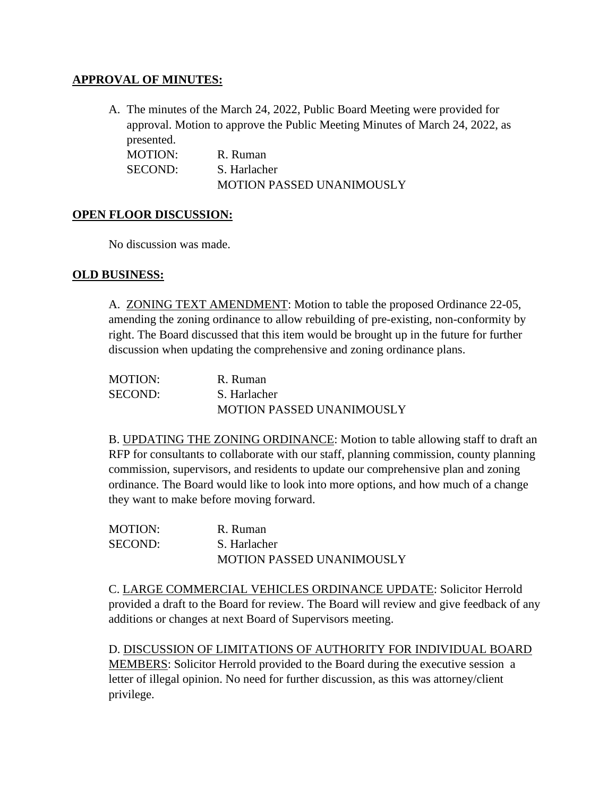## **APPROVAL OF MINUTES:**

A. The minutes of the March 24, 2022, Public Board Meeting were provided for approval. Motion to approve the Public Meeting Minutes of March 24, 2022, as presented.

MOTION: R. Ruman SECOND: S. Harlacher MOTION PASSED UNANIMOUSLY

#### **OPEN FLOOR DISCUSSION:**

No discussion was made.

#### **OLD BUSINESS:**

A. ZONING TEXT AMENDMENT: Motion to table the proposed Ordinance 22-05, amending the zoning ordinance to allow rebuilding of pre-existing, non-conformity by right. The Board discussed that this item would be brought up in the future for further discussion when updating the comprehensive and zoning ordinance plans.

| MOTION: | R. Ruman                         |
|---------|----------------------------------|
| SECOND: | S. Harlacher                     |
|         | <b>MOTION PASSED UNANIMOUSLY</b> |

B. UPDATING THE ZONING ORDINANCE: Motion to table allowing staff to draft an RFP for consultants to collaborate with our staff, planning commission, county planning commission, supervisors, and residents to update our comprehensive plan and zoning ordinance. The Board would like to look into more options, and how much of a change they want to make before moving forward.

MOTION: R. Ruman SECOND: S. Harlacher MOTION PASSED UNANIMOUSLY

C. LARGE COMMERCIAL VEHICLES ORDINANCE UPDATE: Solicitor Herrold provided a draft to the Board for review. The Board will review and give feedback of any additions or changes at next Board of Supervisors meeting.

D. DISCUSSION OF LIMITATIONS OF AUTHORITY FOR INDIVIDUAL BOARD MEMBERS: Solicitor Herrold provided to the Board during the executive session a letter of illegal opinion. No need for further discussion, as this was attorney/client privilege.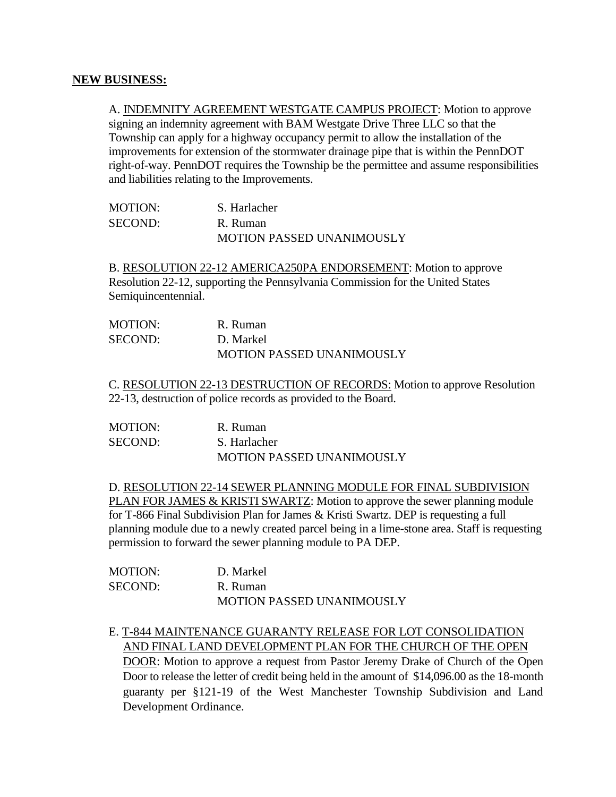#### **NEW BUSINESS:**

A. INDEMNITY AGREEMENT WESTGATE CAMPUS PROJECT: Motion to approve signing an indemnity agreement with BAM Westgate Drive Three LLC so that the Township can apply for a highway occupancy permit to allow the installation of the improvements for extension of the stormwater drainage pipe that is within the PennDOT right-of-way. PennDOT requires the Township be the permittee and assume responsibilities and liabilities relating to the Improvements.

| MOTION: | S. Harlacher                     |
|---------|----------------------------------|
| SECOND: | R. Ruman                         |
|         | <b>MOTION PASSED UNANIMOUSLY</b> |

B. RESOLUTION 22-12 AMERICA250PA ENDORSEMENT: Motion to approve Resolution 22-12, supporting the Pennsylvania Commission for the United States Semiquincentennial.

| MOTION: | R. Ruman                         |
|---------|----------------------------------|
| SECOND: | D. Markel                        |
|         | <b>MOTION PASSED UNANIMOUSLY</b> |

C. RESOLUTION 22-13 DESTRUCTION OF RECORDS: Motion to approve Resolution 22-13, destruction of police records as provided to the Board.

| <b>MOTION:</b> | R. Ruman                         |
|----------------|----------------------------------|
| SECOND:        | S. Harlacher                     |
|                | <b>MOTION PASSED UNANIMOUSLY</b> |

D. RESOLUTION 22-14 SEWER PLANNING MODULE FOR FINAL SUBDIVISION PLAN FOR JAMES & KRISTI SWARTZ: Motion to approve the sewer planning module for T-866 Final Subdivision Plan for James & Kristi Swartz. DEP is requesting a full planning module due to a newly created parcel being in a lime-stone area. Staff is requesting permission to forward the sewer planning module to PA DEP.

| <b>MOTION:</b> | D. Markel                        |
|----------------|----------------------------------|
| <b>SECOND:</b> | R. Ruman                         |
|                | <b>MOTION PASSED UNANIMOUSLY</b> |

# E. T-844 MAINTENANCE GUARANTY RELEASE FOR LOT CONSOLIDATION AND FINAL LAND DEVELOPMENT PLAN FOR THE CHURCH OF THE OPEN

DOOR: Motion to approve a request from Pastor Jeremy Drake of Church of the Open Door to release the letter of credit being held in the amount of \$14,096.00 as the 18-month guaranty per §121-19 of the West Manchester Township Subdivision and Land Development Ordinance.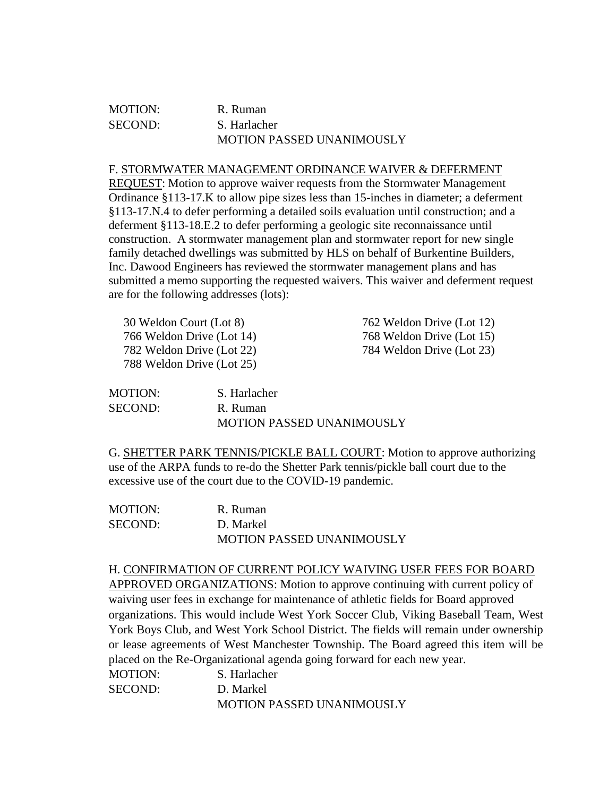### MOTION: R. Ruman SECOND: S. Harlacher MOTION PASSED UNANIMOUSLY

#### F. STORMWATER MANAGEMENT ORDINANCE WAIVER & DEFERMENT

REQUEST: Motion to approve waiver requests from the Stormwater Management Ordinance §113-17.K to allow pipe sizes less than 15-inches in diameter; a deferment §113-17.N.4 to defer performing a detailed soils evaluation until construction; and a deferment §113-18.E.2 to defer performing a geologic site reconnaissance until construction. A stormwater management plan and stormwater report for new single family detached dwellings was submitted by HLS on behalf of Burkentine Builders, Inc. Dawood Engineers has reviewed the stormwater management plans and has submitted a memo supporting the requested waivers. This waiver and deferment request are for the following addresses (lots):

| 30 Weldon Court (Lot 8)   | 762 Weldon Drive (Lot 12) |
|---------------------------|---------------------------|
| 766 Weldon Drive (Lot 14) | 768 Weldon Drive (Lot 15) |
| 782 Weldon Drive (Lot 22) | 784 Weldon Drive (Lot 23) |
| 788 Weldon Drive (Lot 25) |                           |
|                           |                           |

| MOTION: | S. Harlacher                     |
|---------|----------------------------------|
| SECOND: | R. Ruman                         |
|         | <b>MOTION PASSED UNANIMOUSLY</b> |

G. SHETTER PARK TENNIS/PICKLE BALL COURT: Motion to approve authorizing use of the ARPA funds to re-do the Shetter Park tennis/pickle ball court due to the excessive use of the court due to the COVID-19 pandemic.

| MOTION: | R. Ruman                         |
|---------|----------------------------------|
| SECOND: | D. Markel                        |
|         | <b>MOTION PASSED UNANIMOUSLY</b> |

H. CONFIRMATION OF CURRENT POLICY WAIVING USER FEES FOR BOARD APPROVED ORGANIZATIONS: Motion to approve continuing with current policy of waiving user fees in exchange for maintenance of athletic fields for Board approved organizations. This would include West York Soccer Club, Viking Baseball Team, West York Boys Club, and West York School District. The fields will remain under ownership or lease agreements of West Manchester Township. The Board agreed this item will be placed on the Re-Organizational agenda going forward for each new year.

| <b>MOTION:</b> | S. Harlacher                     |
|----------------|----------------------------------|
| <b>SECOND:</b> | D. Markel                        |
|                | <b>MOTION PASSED UNANIMOUSLY</b> |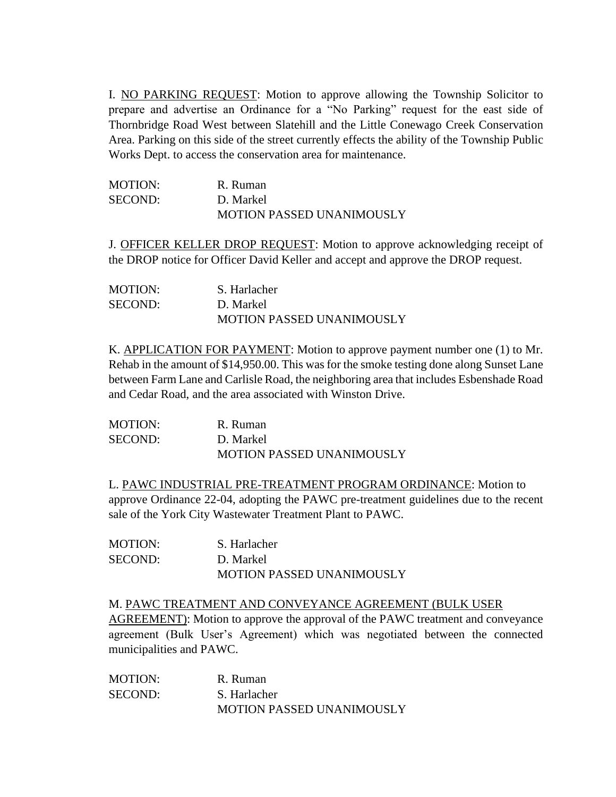I. NO PARKING REQUEST: Motion to approve allowing the Township Solicitor to prepare and advertise an Ordinance for a "No Parking" request for the east side of Thornbridge Road West between Slatehill and the Little Conewago Creek Conservation Area. Parking on this side of the street currently effects the ability of the Township Public Works Dept. to access the conservation area for maintenance.

| MOTION: | R. Ruman                         |
|---------|----------------------------------|
| SECOND: | D. Markel                        |
|         | <b>MOTION PASSED UNANIMOUSLY</b> |

J. OFFICER KELLER DROP REQUEST: Motion to approve acknowledging receipt of the DROP notice for Officer David Keller and accept and approve the DROP request.

| MOTION: | S. Harlacher                     |
|---------|----------------------------------|
| SECOND: | D. Markel                        |
|         | <b>MOTION PASSED UNANIMOUSLY</b> |

K. APPLICATION FOR PAYMENT: Motion to approve payment number one (1) to Mr. Rehab in the amount of \$14,950.00. This was for the smoke testing done along Sunset Lane between Farm Lane and Carlisle Road, the neighboring area that includes Esbenshade Road and Cedar Road, and the area associated with Winston Drive.

| MOTION: | R. Ruman                         |
|---------|----------------------------------|
| SECOND: | D. Markel                        |
|         | <b>MOTION PASSED UNANIMOUSLY</b> |

L. PAWC INDUSTRIAL PRE-TREATMENT PROGRAM ORDINANCE: Motion to approve Ordinance 22-04, adopting the PAWC pre-treatment guidelines due to the recent sale of the York City Wastewater Treatment Plant to PAWC.

MOTION: S. Harlacher SECOND: D. Markel MOTION PASSED UNANIMOUSLY

M. PAWC TREATMENT AND CONVEYANCE AGREEMENT (BULK USER AGREEMENT): Motion to approve the approval of the PAWC treatment and conveyance agreement (Bulk User's Agreement) which was negotiated between the connected municipalities and PAWC.

MOTION: R. Ruman SECOND: S. Harlacher MOTION PASSED UNANIMOUSLY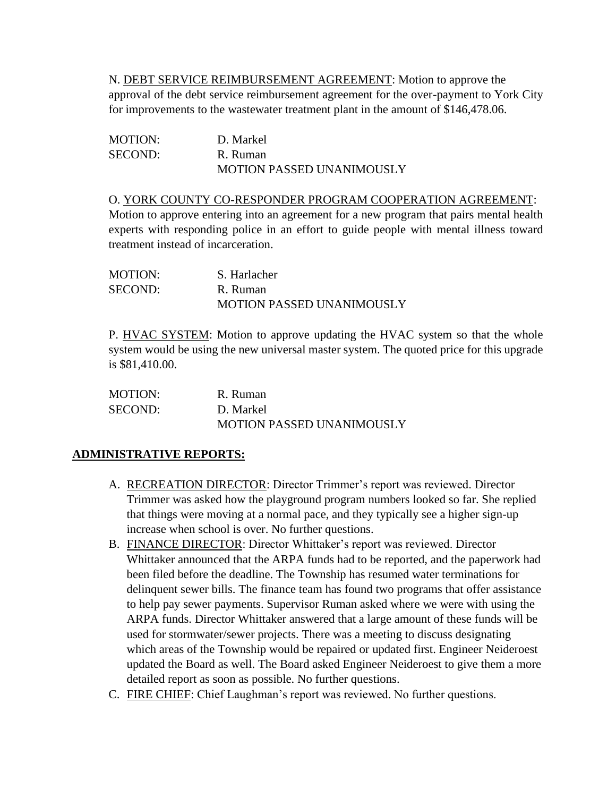N. DEBT SERVICE REIMBURSEMENT AGREEMENT: Motion to approve the approval of the debt service reimbursement agreement for the over-payment to York City for improvements to the wastewater treatment plant in the amount of \$146,478.06.

| <b>MOTION:</b> | D. Markel                        |
|----------------|----------------------------------|
| SECOND:        | R. Ruman                         |
|                | <b>MOTION PASSED UNANIMOUSLY</b> |

#### O. YORK COUNTY CO-RESPONDER PROGRAM COOPERATION AGREEMENT:

Motion to approve entering into an agreement for a new program that pairs mental health experts with responding police in an effort to guide people with mental illness toward treatment instead of incarceration.

| <b>MOTION:</b> | S. Harlacher                     |
|----------------|----------------------------------|
| SECOND:        | R. Ruman                         |
|                | <b>MOTION PASSED UNANIMOUSLY</b> |

P. HVAC SYSTEM: Motion to approve updating the HVAC system so that the whole system would be using the new universal master system. The quoted price for this upgrade is \$81,410.00.

| MOTION: | R. Ruman                         |
|---------|----------------------------------|
| SECOND: | D. Markel                        |
|         | <b>MOTION PASSED UNANIMOUSLY</b> |

# **ADMINISTRATIVE REPORTS:**

- A. RECREATION DIRECTOR: Director Trimmer's report was reviewed. Director Trimmer was asked how the playground program numbers looked so far. She replied that things were moving at a normal pace, and they typically see a higher sign-up increase when school is over. No further questions.
- B. FINANCE DIRECTOR: Director Whittaker's report was reviewed. Director Whittaker announced that the ARPA funds had to be reported, and the paperwork had been filed before the deadline. The Township has resumed water terminations for delinquent sewer bills. The finance team has found two programs that offer assistance to help pay sewer payments. Supervisor Ruman asked where we were with using the ARPA funds. Director Whittaker answered that a large amount of these funds will be used for stormwater/sewer projects. There was a meeting to discuss designating which areas of the Township would be repaired or updated first. Engineer Neideroest updated the Board as well. The Board asked Engineer Neideroest to give them a more detailed report as soon as possible. No further questions.
- C. FIRE CHIEF: Chief Laughman's report was reviewed. No further questions.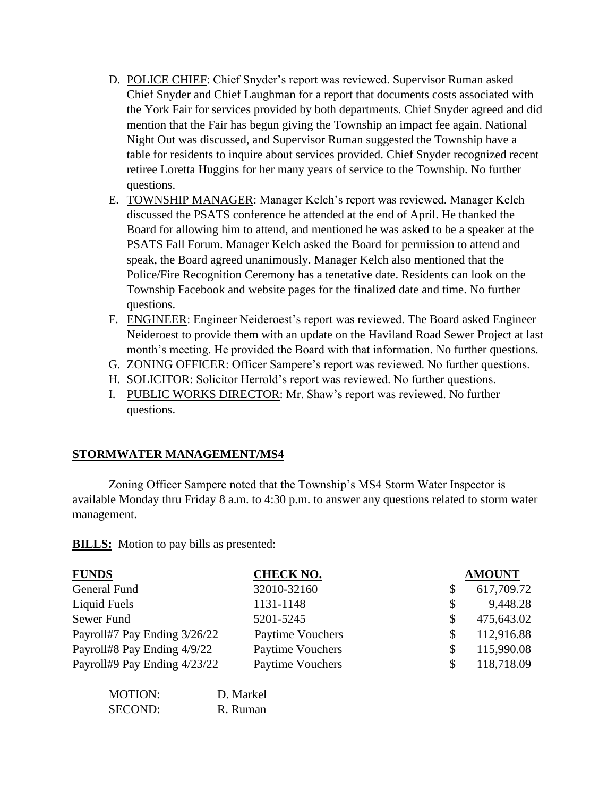- D. POLICE CHIEF: Chief Snyder's report was reviewed. Supervisor Ruman asked Chief Snyder and Chief Laughman for a report that documents costs associated with the York Fair for services provided by both departments. Chief Snyder agreed and did mention that the Fair has begun giving the Township an impact fee again. National Night Out was discussed, and Supervisor Ruman suggested the Township have a table for residents to inquire about services provided. Chief Snyder recognized recent retiree Loretta Huggins for her many years of service to the Township. No further questions.
- E. TOWNSHIP MANAGER: Manager Kelch's report was reviewed. Manager Kelch discussed the PSATS conference he attended at the end of April. He thanked the Board for allowing him to attend, and mentioned he was asked to be a speaker at the PSATS Fall Forum. Manager Kelch asked the Board for permission to attend and speak, the Board agreed unanimously. Manager Kelch also mentioned that the Police/Fire Recognition Ceremony has a tenetative date. Residents can look on the Township Facebook and website pages for the finalized date and time. No further questions.
- F. ENGINEER: Engineer Neideroest's report was reviewed. The Board asked Engineer Neideroest to provide them with an update on the Haviland Road Sewer Project at last month's meeting. He provided the Board with that information. No further questions.
- G. ZONING OFFICER: Officer Sampere's report was reviewed. No further questions.
- H. SOLICITOR: Solicitor Herrold's report was reviewed. No further questions.
- I. PUBLIC WORKS DIRECTOR: Mr. Shaw's report was reviewed. No further questions.

# **STORMWATER MANAGEMENT/MS4**

Zoning Officer Sampere noted that the Township's MS4 Storm Water Inspector is available Monday thru Friday 8 a.m. to 4:30 p.m. to answer any questions related to storm water management.

**BILLS:** Motion to pay bills as presented:

| <b>FUNDS</b>                 | <b>CHECK NO.</b> |     | <b>AMOUNT</b> |
|------------------------------|------------------|-----|---------------|
| General Fund                 | 32010-32160      | \$  | 617,709.72    |
| Liquid Fuels                 | 1131-1148        | \$  | 9,448.28      |
| Sewer Fund                   | 5201-5245        | \$  | 475,643.02    |
| Payroll#7 Pay Ending 3/26/22 | Paytime Vouchers | \$. | 112,916.88    |
| Payroll#8 Pay Ending 4/9/22  | Paytime Vouchers |     | 115,990.08    |
| Payroll#9 Pay Ending 4/23/22 | Paytime Vouchers |     | 118,718.09    |

| MOTION:        | D. Markel |
|----------------|-----------|
| <b>SECOND:</b> | R. Ruman  |